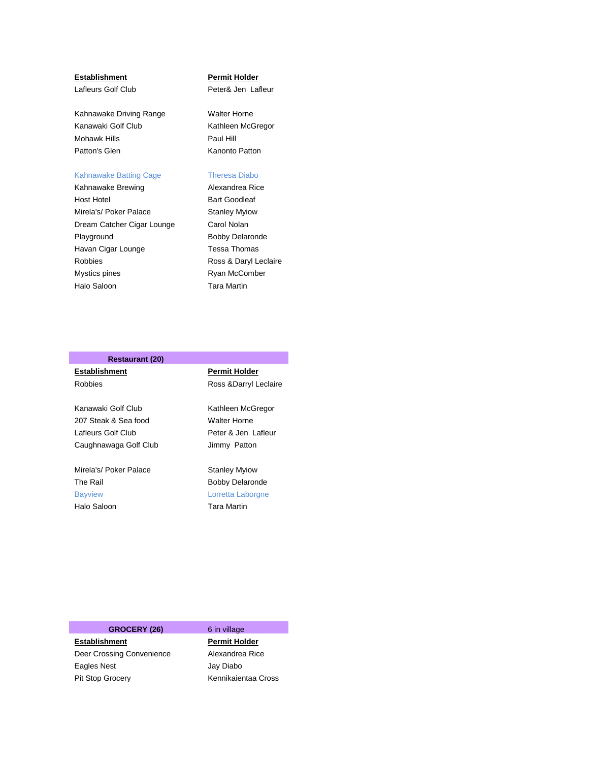Kahnawake Driving Range Walter Horne Kanawaki Golf Club Kathleen McGregor Mohawk Hills **Paul Hill** Patton's Glen Kanonto Patton

### Kahnawake Batting Cage Theresa Diabo

Kahnawake Brewing **Alexandrea Rice** Host Hotel **Bart Goodleaf** Mirela's/ Poker Palace Stanley Myiow Dream Catcher Cigar Lounge Carol Nolan Playground **Bobby Delaronde** Havan Cigar Lounge Tessa Thomas Robbies Ross & Daryl Leclaire Mystics pines **Ryan McComber** Halo Saloon **Tara Martin** 

### **Establishment Permit Holder**

Lafleurs Golf Club **Peter& Jen Lafleur** 

## **Restaurant (20)**

**Establishment Permit Holder**  Robbies Ross &Darryl Leclaire Kanawaki Golf Club Kathleen McGregor 207 Steak & Sea food Walter Horne Lafleurs Golf Club Peter & Jen Lafleur Caughnawaga Golf Club Jimmy Patton Mirela's/ Poker Palace Stanley Myiow The Rail **Bobby Delaronde** Bayview **Lorretta Laborgne** Halo Saloon **Tara Martin** 

## GROCERY (26) 6 in village

**Establishment Permit Holder** Deer Crossing Convenience Alexandrea Rice Eagles Nest **Galacter Contract Contract Contract Contract Contract Contract Contract Contract Contract Contract** Pit Stop Grocery Kennikaientaa Cross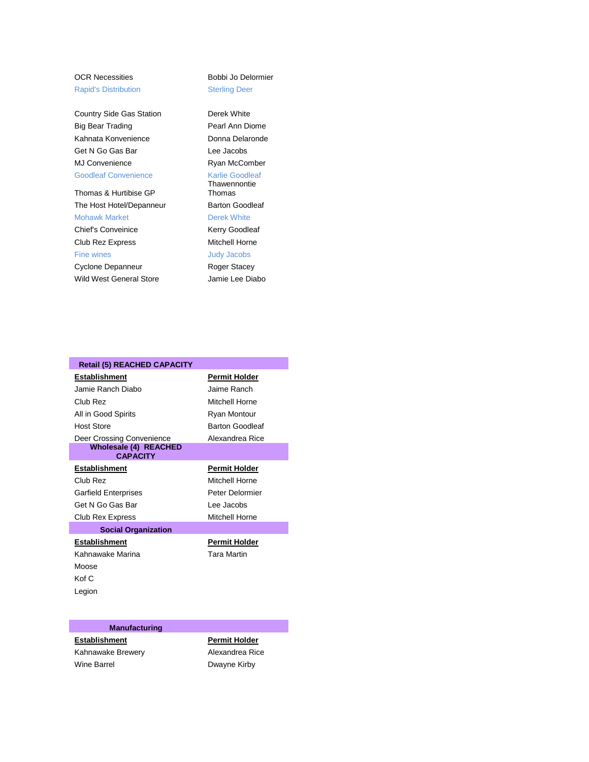## Rapid's Distribution **Sterling Deer**

Country Side Gas Station Derek White Big Bear Trading **Pearl Ann Diome** Kahnata Konvenience **Donna Delaronde** Get N Go Gas Bar Lee Jacobs MJ Convenience Ryan McComber Goodleaf Convenience Karlie Goodleaf

Thomas & Hurtibise GP The Host Hotel/Depanneur Barton Goodleaf Mohawk Market **Derek White** Chief's Conveinice Kerry Goodleaf Club Rez Express Mitchell Horne Fine wines **All Strategies Judy Jacobs** Cyclone Depanneur Roger Stacey Wild West General Store **Jamie Lee Diabo** 

# OCR Necessities Bobbi Jo Delormier

Thawennontie Thomas

| <b>Retail (5) REACHED CAPACITY</b>              |                        |
|-------------------------------------------------|------------------------|
| <b>Establishment</b>                            | <b>Permit Holder</b>   |
| Jamie Ranch Diabo                               | Jaime Ranch            |
| Club Rez                                        | Mitchell Horne         |
| All in Good Spirits                             | Ryan Montour           |
| <b>Host Store</b>                               | <b>Barton Goodleaf</b> |
| Deer Crossing Convenience                       | Alexandrea Rice        |
| <b>Wholesale (4) REACHED</b><br><b>CAPACITY</b> |                        |
| Establishment                                   | <b>Permit Holder</b>   |
| Club Rez                                        | Mitchell Horne         |
| <b>Garfield Enterprises</b>                     | Peter Delormier        |
| Get N Go Gas Bar                                | Lee Jacobs             |
| Club Rex Express                                | Mitchell Horne         |
| <b>Social Organization</b>                      |                        |
| Establishment                                   | <b>Permit Holder</b>   |
| Kahnawake Marina                                | <b>Tara Martin</b>     |
| Moose                                           |                        |
| Kof C                                           |                        |
| Legion                                          |                        |

## **Manufacturing**

Kahnawake Brewery **Alexandrea Rice** Wine Barrel **Dwayne Kirby** 

**Establishment Permit Holder**